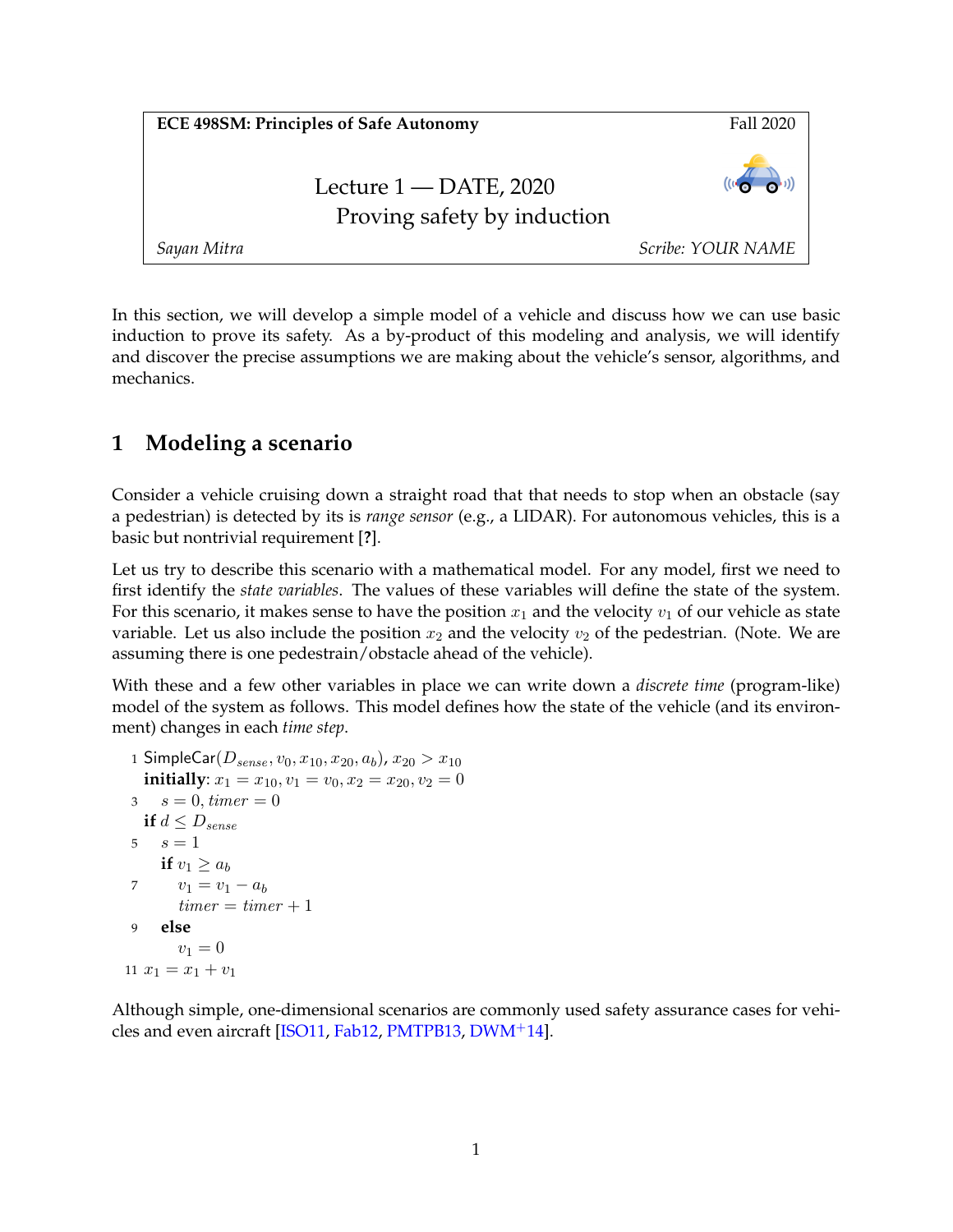| <b>ECE 498SM: Principles of Safe Autonomy</b>           | Fall 2020               |
|---------------------------------------------------------|-------------------------|
| Lecture $1 -$ DATE, 2020<br>Proving safety by induction | $((1 - \frac{1}{2})^2)$ |
| Sayan Mitra                                             | Scribe: YOUR NAME       |

In this section, we will develop a simple model of a vehicle and discuss how we can use basic induction to prove its safety. As a by-product of this modeling and analysis, we will identify and discover the precise assumptions we are making about the vehicle's sensor, algorithms, and mechanics.

# **1 Modeling a scenario**

Consider a vehicle cruising down a straight road that that needs to stop when an obstacle (say a pedestrian) is detected by its is *range sensor* (e.g., a LIDAR). For autonomous vehicles, this is a basic but nontrivial requirement [**?**].

Let us try to describe this scenario with a mathematical model. For any model, first we need to first identify the *state variables*. The values of these variables will define the state of the system. For this scenario, it makes sense to have the position  $x_1$  and the velocity  $v_1$  of our vehicle as state variable. Let us also include the position  $x_2$  and the velocity  $v_2$  of the pedestrian. (Note. We are assuming there is one pedestrain/obstacle ahead of the vehicle).

With these and a few other variables in place we can write down a *discrete time* (program-like) model of the system as follows. This model defines how the state of the vehicle (and its environment) changes in each *time step*.

```
1 SimpleCar(D_{sense}, v_0, x_{10}, x_{20}, a_b), x_{20} > x_{10}initially: x_1 = x_{10}, v_1 = v_0, x_2 = x_{20}, v_2 = 03 s = 0, time r = 0if d \leq D_{sense}5 s = 1if v_1 \geq a_b7 v_1 = v_1 - a_btimer = timer + 19 else
       v_1 = 011 x_1 = x_1 + v_1
```
Although simple, one-dimensional scenarios are commonly used safety assurance cases for vehicles and even aircraft [\[ISO11,](#page-5-0) [Fab12,](#page-5-1) [PMTPB13,](#page-5-2) [DWM](#page-4-0)+14].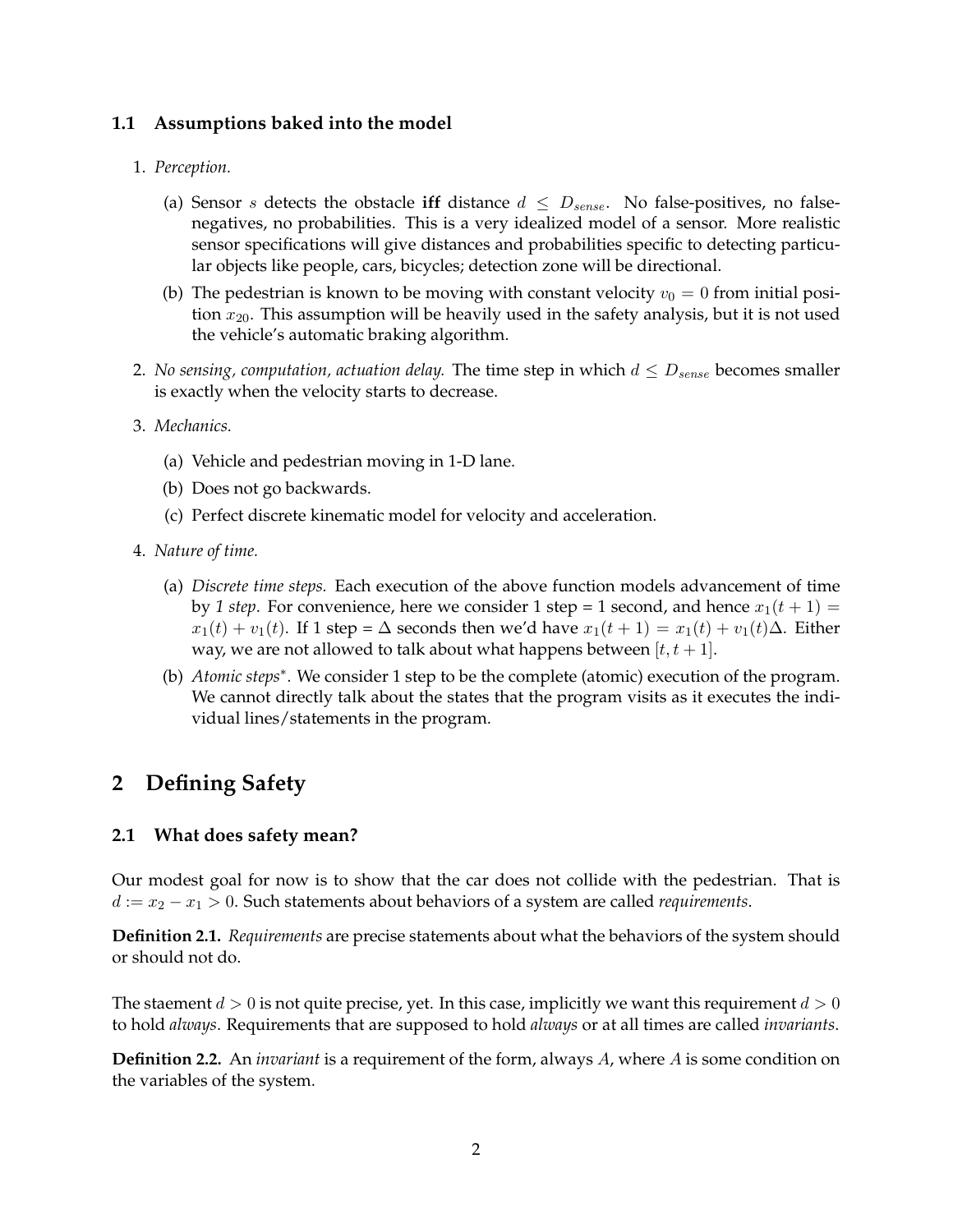### **1.1 Assumptions baked into the model**

#### 1. *Perception.*

- (a) Sensor s detects the obstacle **iff** distance  $d \leq D_{sense}$ . No false-positives, no falsenegatives, no probabilities. This is a very idealized model of a sensor. More realistic sensor specifications will give distances and probabilities specific to detecting particular objects like people, cars, bicycles; detection zone will be directional.
- (b) The pedestrian is known to be moving with constant velocity  $v_0 = 0$  from initial position  $x_{20}$ . This assumption will be heavily used in the safety analysis, but it is not used the vehicle's automatic braking algorithm.
- 2. *No sensing, computation, actuation delay.* The time step in which  $d \leq D_{sense}$  becomes smaller is exactly when the velocity starts to decrease.
- 3. *Mechanics.*
	- (a) Vehicle and pedestrian moving in 1-D lane.
	- (b) Does not go backwards.
	- (c) Perfect discrete kinematic model for velocity and acceleration.
- 4. *Nature of time.*
	- (a) *Discrete time steps.* Each execution of the above function models advancement of time by 1 step. For convenience, here we consider 1 step = 1 second, and hence  $x_1(t + 1) =$  $x_1(t) + v_1(t)$ . If 1 step =  $\Delta$  seconds then we'd have  $x_1(t + 1) = x_1(t) + v_1(t)\Delta$ . Either way, we are not allowed to talk about what happens between  $[t, t + 1]$ .
	- (b) *Atomic steps*<sup>∗</sup> *.* We consider 1 step to be the complete (atomic) execution of the program. We cannot directly talk about the states that the program visits as it executes the individual lines/statements in the program.

# **2 Defining Safety**

#### **2.1 What does safety mean?**

Our modest goal for now is to show that the car does not collide with the pedestrian. That is d := x<sup>2</sup> − x<sup>1</sup> > 0. Such statements about behaviors of a system are called *requirements*.

**Definition 2.1.** *Requirements* are precise statements about what the behaviors of the system should or should not do.

The staement  $d > 0$  is not quite precise, yet. In this case, implicitly we want this requirement  $d > 0$ to hold *always*. Requirements that are supposed to hold *always* or at all times are called *invariants*.

**Definition 2.2.** An *invariant* is a requirement of the form, always A, where A is some condition on the variables of the system.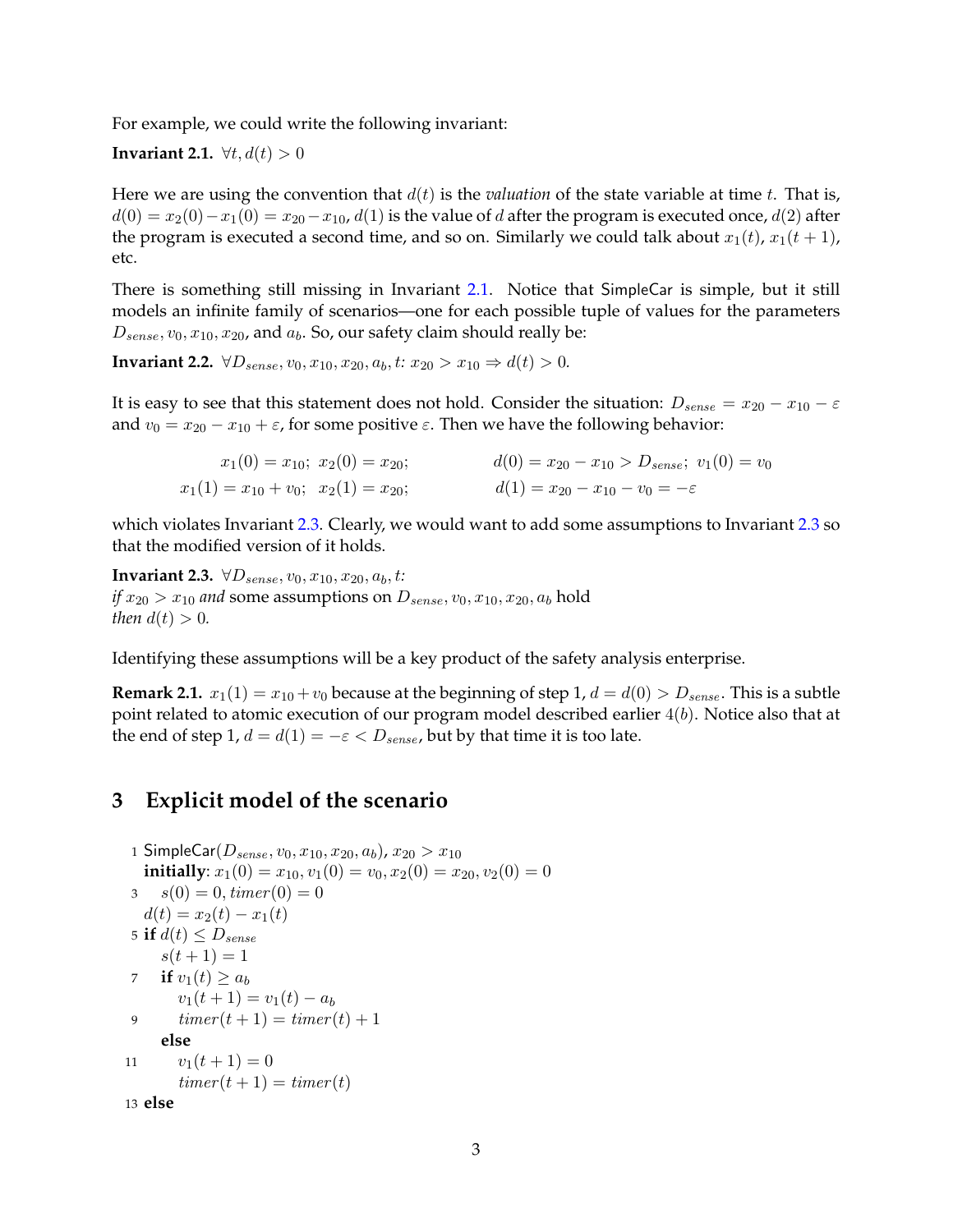For example, we could write the following invariant:

<span id="page-2-0"></span>**Invariant 2.1.**  $\forall t, d(t) > 0$ 

Here we are using the convention that  $d(t)$  is the *valuation* of the state variable at time t. That is,  $d(0) = x_2(0) - x_1(0) = x_{20} - x_{10}$ ,  $d(1)$  is the value of d after the program is executed once,  $d(2)$  after the program is executed a second time, and so on. Similarly we could talk about  $x_1(t)$ ,  $x_1(t + 1)$ , etc.

There is something still missing in Invariant [2.1.](#page-2-0) Notice that SimpleCar is simple, but it still models an infinite family of scenarios—one for each possible tuple of values for the parameters  $D_{sense}, v_0, x_{10}, x_{20}$ , and  $a_b$ . So, our safety claim should really be:

**Invariant 2.2.**  $\forall D_{sense}, v_0, x_{10}, x_{20}, a_b, t: x_{20} > x_{10} \Rightarrow d(t) > 0.$ 

It is easy to see that this statement does not hold. Consider the situation:  $D_{sense} = x_{20} - x_{10} - \varepsilon$ and  $v_0 = x_{20} - x_{10} + \varepsilon$ , for some positive  $\varepsilon$ . Then we have the following behavior:

| $x_1(0) = x_{10}; x_2(0) = x_{20};$           | $d(0) = x_{20} - x_{10} > D_{sense}; v_1(0) = v_0$ |
|-----------------------------------------------|----------------------------------------------------|
| $x_1(1) = x_{10} + v_0; \ \ x_2(1) = x_{20};$ | $d(1) = x_{20} - x_{10} - v_0 = -\varepsilon$      |

which violates Invariant [2.3.](#page-2-1) Clearly, we would want to add some assumptions to Invariant [2.3](#page-2-1) so that the modified version of it holds.

<span id="page-2-1"></span>**Invariant 2.3.**  $\forall D_{sense}, v_0, x_{10}, x_{20}, a_b, t$ : *if*  $x_{20} > x_{10}$  *and* some assumptions on  $D_{sense}$ ,  $v_0$ ,  $x_{10}$ ,  $x_{20}$ ,  $a_b$  hold *then*  $d(t) > 0$ *.* 

Identifying these assumptions will be a key product of the safety analysis enterprise.

**Remark 2.1.**  $x_1(1) = x_{10} + v_0$  because at the beginning of step 1,  $d = d(0) > D_{sense}$ . This is a subtle point related to atomic execution of our program model described earlier  $4(b)$ . Notice also that at the end of step 1,  $d = d(1) = -\varepsilon < D_{sense}$ , but by that time it is too late.

## **3 Explicit model of the scenario**

```
1 SimpleCar(D_{sense}, v_0, x_{10}, x_{20}, a_b), x_{20} > x_{10}initially: x_1(0) = x_{10}, v_1(0) = v_0, x_2(0) = x_{20}, v_2(0) = 03 s(0) = 0, timer(0) = 0d(t) = x_2(t) - x_1(t)5 if d(t) \leq D_{sense}s(t+1) = 17 if v_1(t) \ge a_bv_1(t + 1) = v_1(t) - a_b9 timer(t + 1) = timer(t) + 1else
11 v_1(t+1) = 0timer(t + 1) = timer(t)13 else
```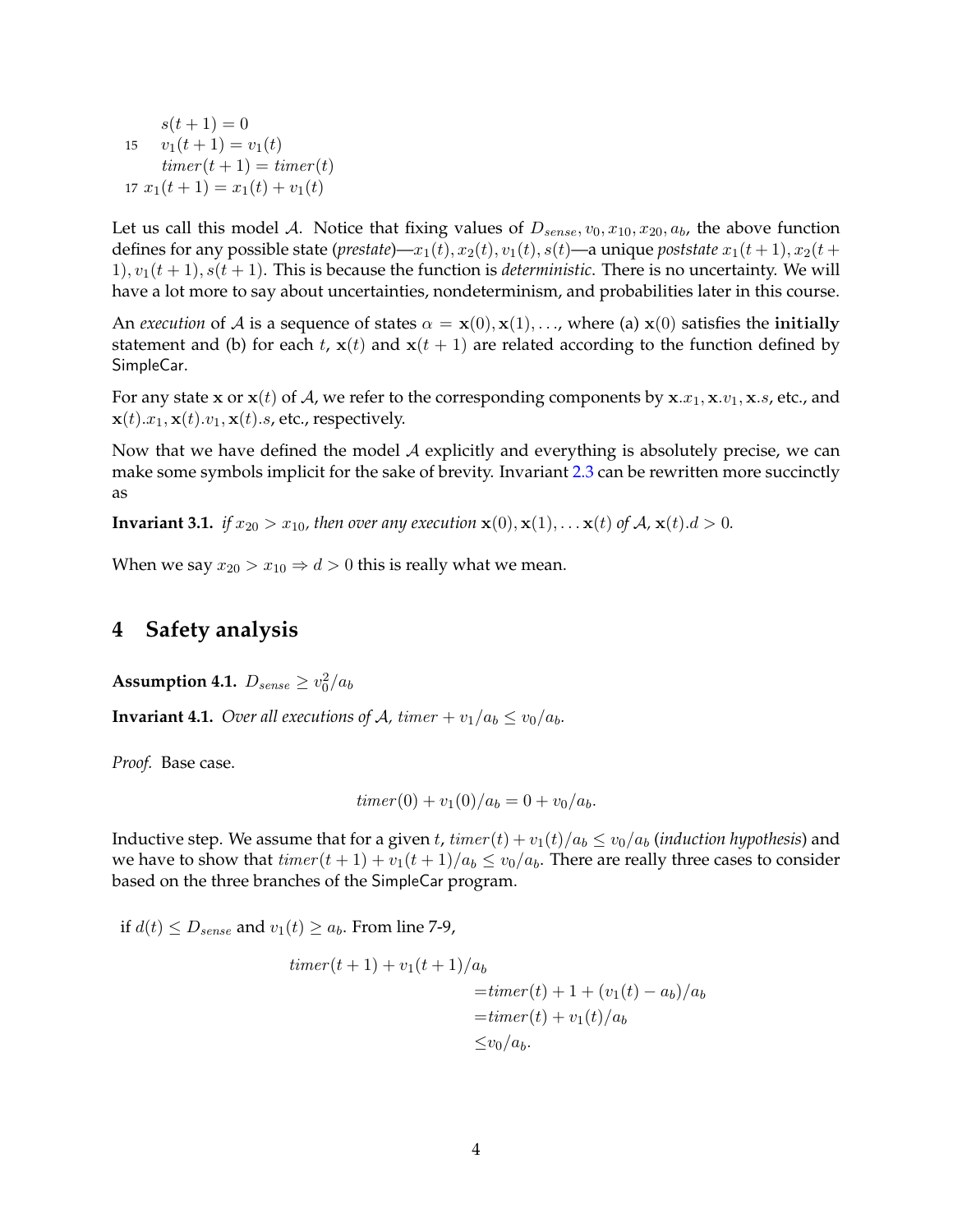$s(t + 1) = 0$ 15  $v_1(t+1) = v_1(t)$  $timer(t + 1) = timer(t)$ 17  $x_1(t+1) = x_1(t) + v_1(t)$ 

Let us call this model A. Notice that fixing values of  $D_{sense}$ ,  $v_0$ ,  $x_{10}$ ,  $x_{20}$ ,  $a_b$ , the above function defines for any possible state (*prestate*)— $x_1(t)$ ,  $x_2(t)$ ,  $v_1(t)$ ,  $s(t)$ —a unique *poststate*  $x_1(t+1)$ ,  $x_2(t+$ 1),  $v_1(t + 1)$ ,  $s(t + 1)$ . This is because the function is *deterministic*. There is no uncertainty. We will have a lot more to say about uncertainties, nondeterminism, and probabilities later in this course.

An *execution* of A is a sequence of states  $\alpha = \mathbf{x}(0), \mathbf{x}(1), \dots$ , where (a)  $\mathbf{x}(0)$  satisfies the initially statement and (b) for each t,  $\mathbf{x}(t)$  and  $\mathbf{x}(t + 1)$  are related according to the function defined by SimpleCar.

For any state x or  $\mathbf{x}(t)$  of A, we refer to the corresponding components by  $\mathbf{x}.x_1, \mathbf{x}.v_1, \mathbf{x}.s$ , etc., and  $\mathbf{x}(t).x_1, \mathbf{x}(t).y_1, \mathbf{x}(t).s$ , etc., respectively.

Now that we have defined the model  $A$  explicitly and everything is absolutely precise, we can make some symbols implicit for the sake of brevity. Invariant [2.3](#page-2-1) can be rewritten more succinctly as

**Invariant 3.1.** *if*  $x_{20} > x_{10}$ *, then over any execution*  $\mathbf{x}(0), \mathbf{x}(1), \dots \mathbf{x}(t)$  *of*  $\mathcal{A}, \mathbf{x}(t) \, d > 0$ *.* 

When we say  $x_{20} > x_{10} \Rightarrow d > 0$  this is really what we mean.

### **4 Safety analysis**

<span id="page-3-1"></span>**Assumption 4.1.**  $D_{sense} \geq v_0^2/a_b$ 

<span id="page-3-0"></span>**Invariant 4.1.** *Over all executions of A, timer* +  $v_1/a_b \le v_0/a_b$ *.* 

*Proof.* Base case.

$$
timer(0) + v_1(0)/a_b = 0 + v_0/a_b.
$$

Inductive step. We assume that for a given t,  $timer(t) + v_1(t)/a_b \le v_0/a_b$  *(induction hypothesis)* and we have to show that  $\text{time}(t + 1) + v_1(t + 1)/a_b \le v_0/a_b$ . There are really three cases to consider based on the three branches of the SimpleCar program.

if  $d(t) \leq D_{sense}$  and  $v_1(t) \geq a_b$ . From line 7-9,

$$
timer(t+1) + v_1(t+1)/a_b
$$
  
=  $timer(t) + 1 + (v_1(t) - a_b)/a_b$   
=  $timer(t) + v_1(t)/a_b$   
 $\leq v_0/a_b.$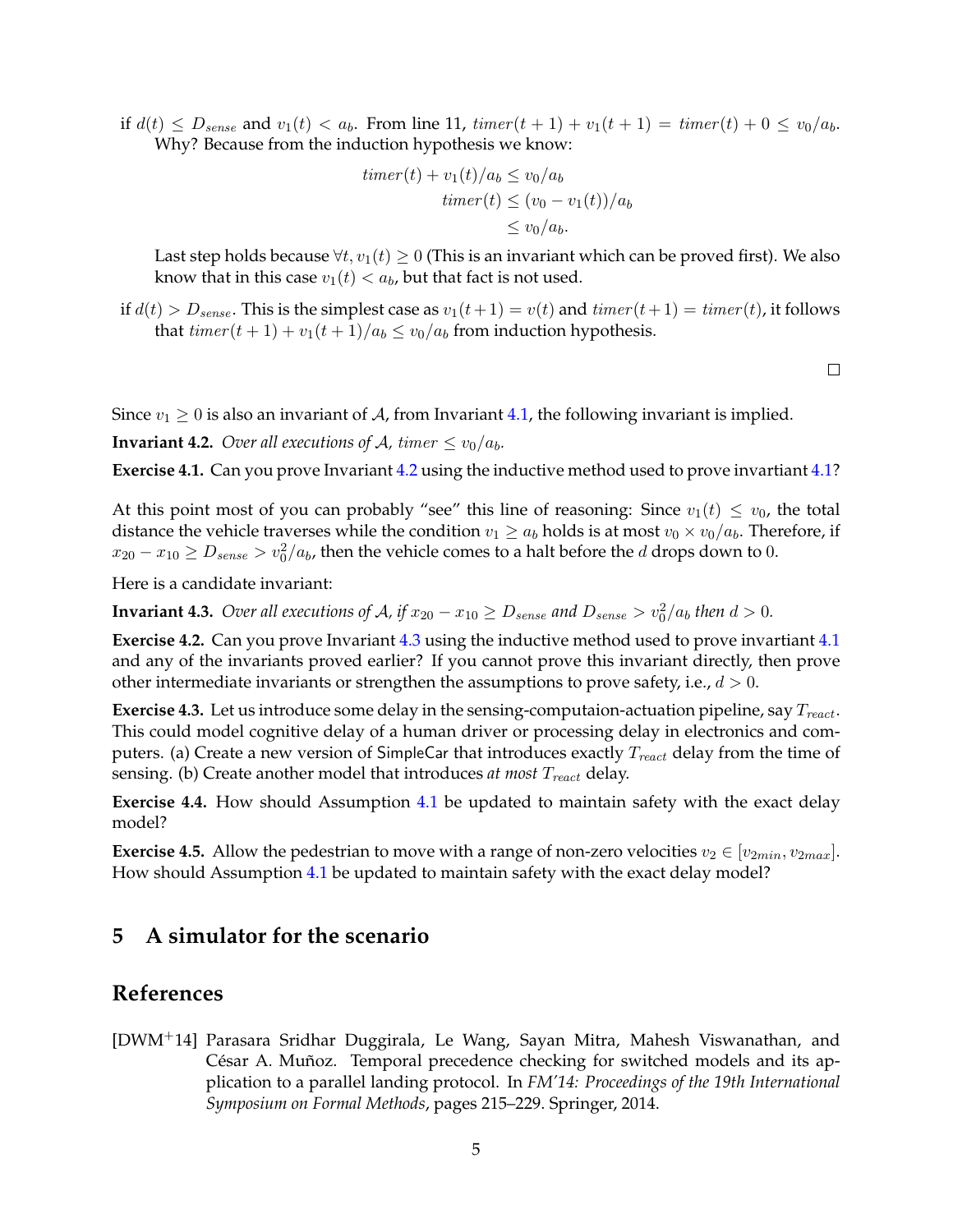if  $d(t) \leq D_{sense}$  and  $v_1(t) < a_b$ . From line 11,  $timer(t+1) + v_1(t+1) = timer(t) + 0 \leq v_0/a_b$ . Why? Because from the induction hypothesis we know:

$$
timer(t) + v_1(t)/a_b \le v_0/a_b
$$
  

$$
timer(t) \le (v_0 - v_1(t))/a_b
$$
  

$$
\le v_0/a_b.
$$

Last step holds because  $\forall t, v_1(t) \geq 0$  (This is an invariant which can be proved first). We also know that in this case  $v_1(t) < a_b$ , but that fact is not used.

if  $d(t) > D_{sense}$ . This is the simplest case as  $v_1(t+1) = v(t)$  and  $timer(t+1) = timer(t)$ , it follows that  $timer(t + 1) + v_1(t + 1)/a_b \le v_0/a_b$  from induction hypothesis.

 $\Box$ 

Since  $v_1 \geq 0$  is also an invariant of A, from Invariant [4.1,](#page-3-0) the following invariant is implied.

<span id="page-4-1"></span>**Invariant 4.2.** *Over all executions of A, timer*  $\leq v_0/a_b$ *.* 

**Exercise 4.1.** Can you prove Invariant [4.2](#page-4-1) using the inductive method used to prove invartiant [4.1?](#page-3-0)

At this point most of you can probably "see" this line of reasoning: Since  $v_1(t) \le v_0$ , the total distance the vehicle traverses while the condition  $v_1 \ge a_b$  holds is at most  $v_0 \times v_0/a_b$ . Therefore, if  $x_{20}-x_{10}\geq D_{sense}>v_0^2/a_b$ , then the vehicle comes to a halt before the  $d$  drops down to  $0.$ 

Here is a candidate invariant:

<span id="page-4-2"></span>**Invariant 4.3.** Over all executions of A, if  $x_{20} - x_{10} \ge D_{sense}$  and  $D_{sense} > v_0^2/a_b$  then  $d > 0$ .

**Exercise 4.2.** Can you prove Invariant [4.3](#page-4-2) using the inductive method used to prove invartiant [4.1](#page-3-0) and any of the invariants proved earlier? If you cannot prove this invariant directly, then prove other intermediate invariants or strengthen the assumptions to prove safety, i.e.,  $d > 0$ .

**Exercise 4.3.** Let us introduce some delay in the sensing-computaion-actuation pipeline, say  $T_{react}$ . This could model cognitive delay of a human driver or processing delay in electronics and computers. (a) Create a new version of SimpleCar that introduces exactly  $T_{react}$  delay from the time of sensing. (b) Create another model that introduces *at most* T<sub>react</sub> delay.

**Exercise 4.4.** How should Assumption [4.1](#page-3-1) be updated to maintain safety with the exact delay model?

**Exercise 4.5.** Allow the pedestrian to move with a range of non-zero velocities  $v_2 \in [v_{2min}, v_{2max}]$ . How should Assumption [4.1](#page-3-1) be updated to maintain safety with the exact delay model?

## **5 A simulator for the scenario**

## **References**

<span id="page-4-0"></span>[DWM+14] Parasara Sridhar Duggirala, Le Wang, Sayan Mitra, Mahesh Viswanathan, and César A. Muñoz. Temporal precedence checking for switched models and its application to a parallel landing protocol. In *FM'14: Proceedings of the 19th International Symposium on Formal Methods*, pages 215–229. Springer, 2014.